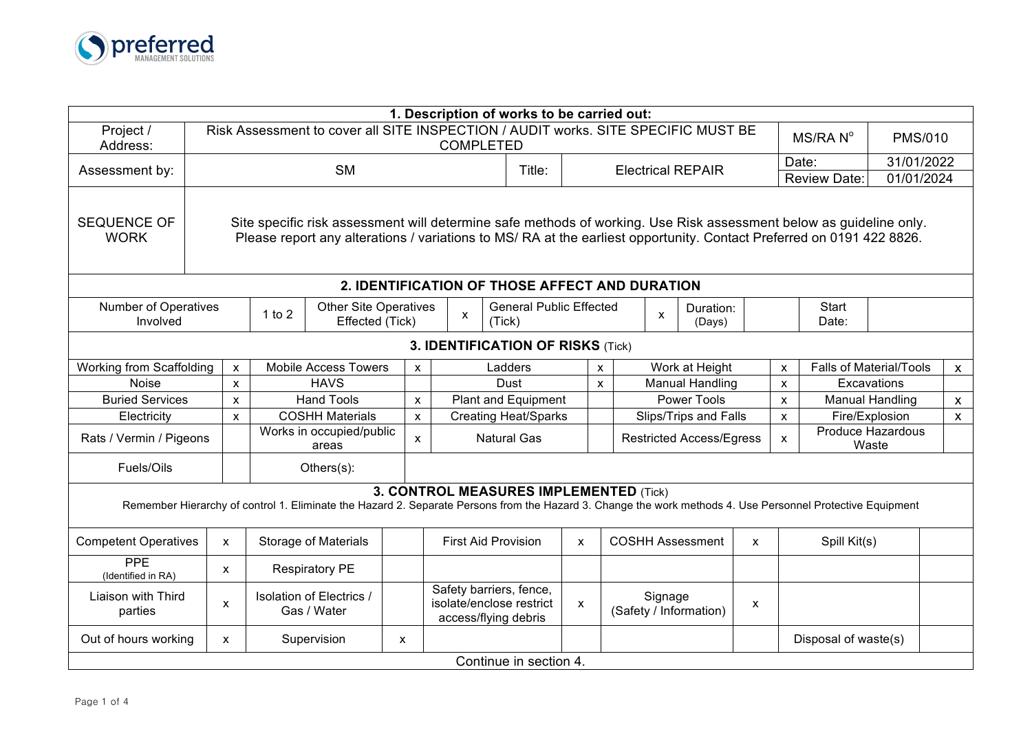

|                                                                                                                                                                                                                                                                                  |                                                                                                                                                |                                                 |                                                 |                                         |              |                                                                                      |                                             | 1. Description of works to be carried out: |                           |                       |                                   |                       |                         |                                |              |                        |                            |  |
|----------------------------------------------------------------------------------------------------------------------------------------------------------------------------------------------------------------------------------------------------------------------------------|------------------------------------------------------------------------------------------------------------------------------------------------|-------------------------------------------------|-------------------------------------------------|-----------------------------------------|--------------|--------------------------------------------------------------------------------------|---------------------------------------------|--------------------------------------------|---------------------------|-----------------------|-----------------------------------|-----------------------|-------------------------|--------------------------------|--------------|------------------------|----------------------------|--|
| Project /<br>Address:                                                                                                                                                                                                                                                            | Risk Assessment to cover all SITE INSPECTION / AUDIT works. SITE SPECIFIC MUST BE<br>MS/RAN <sup>°</sup><br><b>PMS/010</b><br><b>COMPLETED</b> |                                                 |                                                 |                                         |              |                                                                                      |                                             |                                            |                           |                       |                                   |                       |                         |                                |              |                        |                            |  |
| Assessment by:                                                                                                                                                                                                                                                                   |                                                                                                                                                | <b>SM</b><br>Title:<br><b>Electrical REPAIR</b> |                                                 |                                         |              |                                                                                      |                                             |                                            |                           |                       |                                   |                       | Date:                   |                                | 31/01/2022   |                        |                            |  |
|                                                                                                                                                                                                                                                                                  |                                                                                                                                                |                                                 |                                                 |                                         |              |                                                                                      |                                             |                                            |                           |                       |                                   |                       |                         | <b>Review Date:</b>            | 01/01/2024   |                        |                            |  |
| <b>SEQUENCE OF</b><br>Site specific risk assessment will determine safe methods of working. Use Risk assessment below as guideline only.<br>Please report any alterations / variations to MS/ RA at the earliest opportunity. Contact Preferred on 0191 422 8826.<br><b>WORK</b> |                                                                                                                                                |                                                 |                                                 |                                         |              |                                                                                      |                                             |                                            |                           |                       |                                   |                       |                         |                                |              |                        |                            |  |
| 2. IDENTIFICATION OF THOSE AFFECT AND DURATION                                                                                                                                                                                                                                   |                                                                                                                                                |                                                 |                                                 |                                         |              |                                                                                      |                                             |                                            |                           |                       |                                   |                       |                         |                                |              |                        |                            |  |
| <b>Number of Operatives</b><br>$1$ to $2$<br>Involved                                                                                                                                                                                                                            |                                                                                                                                                |                                                 | <b>Other Site Operatives</b><br>Effected (Tick) |                                         |              | <b>General Public Effected</b><br>Duration:<br>$\mathsf{x}$<br>X<br>(Tick)<br>(Days) |                                             |                                            |                           |                       |                                   | <b>Start</b><br>Date: |                         |                                |              |                        |                            |  |
| <b>3. IDENTIFICATION OF RISKS (Tick)</b>                                                                                                                                                                                                                                         |                                                                                                                                                |                                                 |                                                 |                                         |              |                                                                                      |                                             |                                            |                           |                       |                                   |                       |                         |                                |              |                        |                            |  |
| Working from Scaffolding                                                                                                                                                                                                                                                         | <b>Mobile Access Towers</b>                                                                                                                    |                                                 |                                                 | Ladders<br>$\mathsf{x}$                 |              |                                                                                      |                                             | Work at Height<br>$\mathsf{x}$             |                           |                       |                                   | $\mathsf{x}$          |                         | <b>Falls of Material/Tools</b> | $\mathsf{x}$ |                        |                            |  |
| Noise                                                                                                                                                                                                                                                                            | <b>HAVS</b><br>X                                                                                                                               |                                                 |                                                 |                                         |              |                                                                                      |                                             | Dust                                       | $\boldsymbol{\mathsf{x}}$ |                       | <b>Manual Handling</b>            |                       |                         |                                | $\mathsf{x}$ |                        | Excavations                |  |
| <b>Buried Services</b>                                                                                                                                                                                                                                                           |                                                                                                                                                | $\mathsf{x}$                                    |                                                 | <b>Hand Tools</b>                       |              | $\pmb{\mathsf{X}}$                                                                   |                                             | <b>Plant and Equipment</b>                 |                           | <b>Power Tools</b>    |                                   |                       |                         | $\pmb{\mathsf{x}}$             |              | <b>Manual Handling</b> | $\boldsymbol{\mathsf{X}}$  |  |
| Electricity                                                                                                                                                                                                                                                                      | $\mathsf{x}$                                                                                                                                   |                                                 |                                                 | <b>COSHH Materials</b>                  |              |                                                                                      | <b>Creating Heat/Sparks</b><br>$\mathsf{x}$ |                                            |                           | Slips/Trips and Falls |                                   |                       |                         | $\mathsf{x}$                   |              | Fire/Explosion         | $\mathsf{x}$               |  |
| Rats / Vermin / Pigeons                                                                                                                                                                                                                                                          |                                                                                                                                                |                                                 | Works in occupied/public<br>areas               |                                         |              | $\mathsf{x}$                                                                         | <b>Natural Gas</b>                          |                                            |                           |                       | <b>Restricted Access/Egress</b>   |                       |                         |                                | $\mathsf{x}$ |                        | Produce Hazardous<br>Waste |  |
| Fuels/Oils                                                                                                                                                                                                                                                                       |                                                                                                                                                |                                                 |                                                 | $Others(s)$ :                           |              |                                                                                      |                                             |                                            |                           |                       |                                   |                       |                         |                                |              |                        |                            |  |
| 3. CONTROL MEASURES IMPLEMENTED (Tick)<br>Remember Hierarchy of control 1. Eliminate the Hazard 2. Separate Persons from the Hazard 3. Change the work methods 4. Use Personnel Protective Equipment                                                                             |                                                                                                                                                |                                                 |                                                 |                                         |              |                                                                                      |                                             |                                            |                           |                       |                                   |                       |                         |                                |              |                        |                            |  |
| <b>Competent Operatives</b>                                                                                                                                                                                                                                                      | X                                                                                                                                              |                                                 |                                                 | <b>Storage of Materials</b>             |              |                                                                                      |                                             | <b>First Aid Provision</b>                 | $\mathsf{x}$              |                       |                                   |                       | <b>COSHH Assessment</b> | $\mathsf{x}$                   |              | Spill Kit(s)           |                            |  |
| PPE<br>(Identified in RA)                                                                                                                                                                                                                                                        | X                                                                                                                                              |                                                 |                                                 | <b>Respiratory PE</b>                   |              |                                                                                      |                                             |                                            |                           |                       |                                   |                       |                         |                                |              |                        |                            |  |
| Liaison with Third<br>parties                                                                                                                                                                                                                                                    | X                                                                                                                                              |                                                 |                                                 | Isolation of Electrics /<br>Gas / Water |              | Safety barriers, fence,<br>isolate/enclose restrict<br>access/flying debris          |                                             |                                            | $\mathsf{x}$              |                       | Signage<br>(Safety / Information) |                       | X                       |                                |              |                        |                            |  |
| Out of hours working                                                                                                                                                                                                                                                             | X                                                                                                                                              |                                                 |                                                 | Supervision                             | $\mathsf{x}$ |                                                                                      |                                             |                                            |                           |                       |                                   |                       |                         |                                |              | Disposal of waste(s)   |                            |  |
|                                                                                                                                                                                                                                                                                  |                                                                                                                                                |                                                 |                                                 |                                         |              |                                                                                      |                                             | Continue in section 4.                     |                           |                       |                                   |                       |                         |                                |              |                        |                            |  |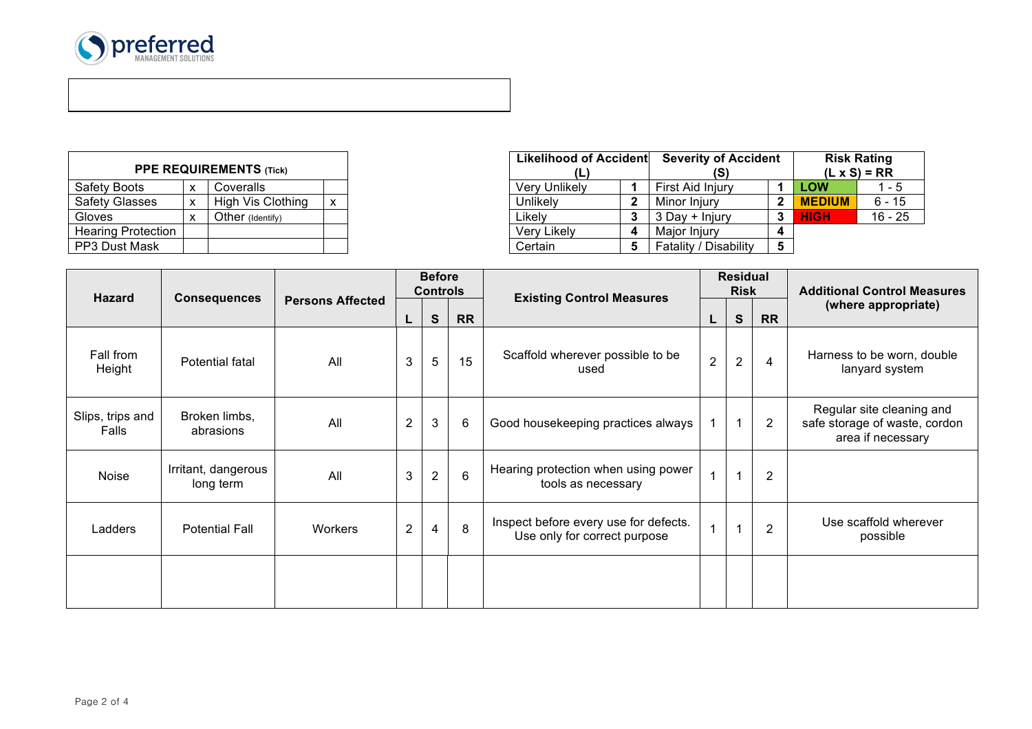

 $\overline{a}$ 

| <b>PPE REQUIREMENTS (Tick)</b> |   |                          |   |  |  |  |  |  |  |  |
|--------------------------------|---|--------------------------|---|--|--|--|--|--|--|--|
| <b>Safety Boots</b>            | x | Coveralls                |   |  |  |  |  |  |  |  |
| <b>Safety Glasses</b>          | x | <b>High Vis Clothing</b> | x |  |  |  |  |  |  |  |
| Gloves                         | x | Other (Identify)         |   |  |  |  |  |  |  |  |
| <b>Hearing Protection</b>      |   |                          |   |  |  |  |  |  |  |  |
| PP3 Dust Mask                  |   |                          |   |  |  |  |  |  |  |  |

| <b>PPE REQUIREMENTS (Tick)</b> |   |                   |  |               | Likelihood of Accident<br>(L | <b>Severity of Accident</b> |   |               | <b>Risk Rating</b><br>$(L \times S) = RR$ |
|--------------------------------|---|-------------------|--|---------------|------------------------------|-----------------------------|---|---------------|-------------------------------------------|
| Safety Boots                   | x | Coveralls         |  | Very Unlikely |                              | First Aid Injury            |   | <b>LOW</b>    | - 5                                       |
| Safety Glasses                 | х | High Vis Clothing |  | Unlikely      |                              | Minor Iniurv                |   | <b>MEDIUM</b> | $6 - 15$                                  |
| Gloves                         | ◠ | Other (Identify)  |  | Likelv        |                              | 3 Day + Injury              |   | <b>HIGH</b>   | $16 - 25$                                 |
| Hearing Protection             |   |                   |  | Very Likely   | Д                            | Maior Iniury                |   |               |                                           |
| PP3 Dust Mask                  |   |                   |  | Certain       |                              | Fatality / Disability       | 5 |               |                                           |

|                           |                                  |                         | <b>Before</b><br><b>Controls</b> |                |           |                                                                       | <b>Residual</b><br><b>Risk</b> |                |                | <b>Additional Control Measures</b>                                              |  |
|---------------------------|----------------------------------|-------------------------|----------------------------------|----------------|-----------|-----------------------------------------------------------------------|--------------------------------|----------------|----------------|---------------------------------------------------------------------------------|--|
| <b>Hazard</b>             | <b>Consequences</b>              | <b>Persons Affected</b> | L                                | $\mathbf{s}$   | <b>RR</b> | <b>Existing Control Measures</b>                                      |                                | S              | <b>RR</b>      | (where appropriate)                                                             |  |
| Fall from<br>Height       | Potential fatal                  | All                     | 3                                | 5              | 15        | Scaffold wherever possible to be<br>used                              | $\overline{2}$                 | $\overline{2}$ | 4              | Harness to be worn, double<br>lanyard system                                    |  |
| Slips, trips and<br>Falls | Broken limbs,<br>abrasions       | All                     | $\overline{2}$                   | $\mathbf{3}$   | 6         | Good housekeeping practices always                                    |                                | 1              | 2              | Regular site cleaning and<br>safe storage of waste, cordon<br>area if necessary |  |
| Noise                     | Irritant, dangerous<br>long term | All                     | 3                                | $\overline{2}$ | 6         | Hearing protection when using power<br>tools as necessary             | $\overline{1}$                 | 1              | $\overline{2}$ |                                                                                 |  |
| Ladders                   | <b>Potential Fall</b>            | Workers                 | $\overline{2}$                   | 4              | 8         | Inspect before every use for defects.<br>Use only for correct purpose | $\mathbf{1}$                   |                | 2              | Use scaffold wherever<br>possible                                               |  |
|                           |                                  |                         |                                  |                |           |                                                                       |                                |                |                |                                                                                 |  |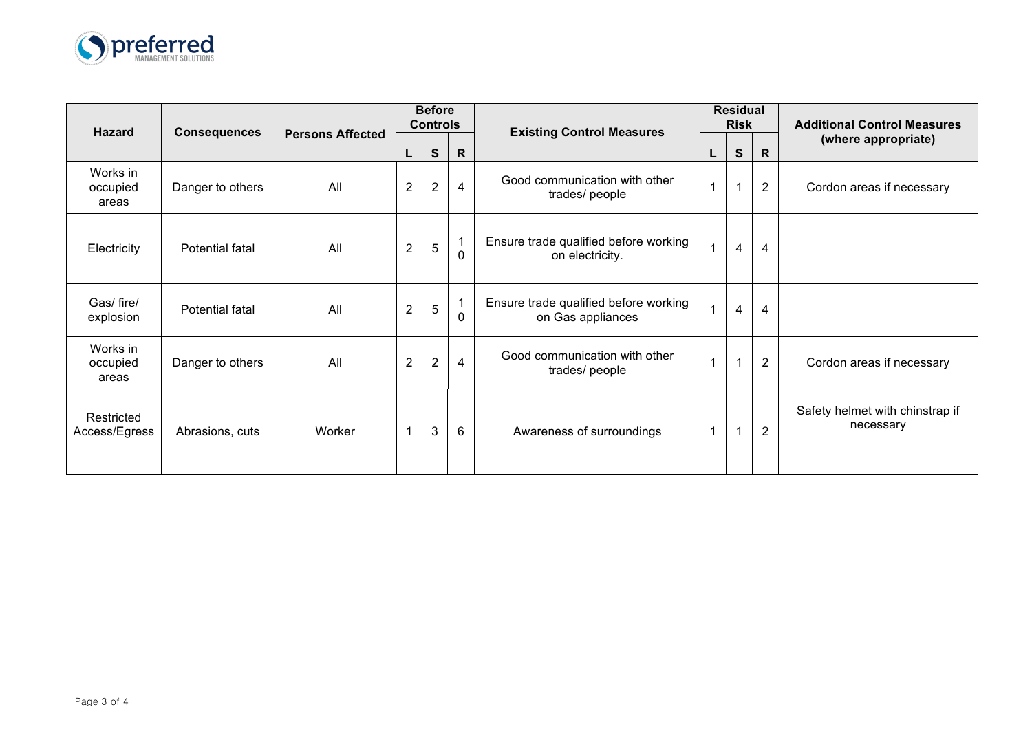

|                               |                     |                         | <b>Before</b><br><b>Controls</b> |                |                          |                                                            |   | <b>Residual</b><br><b>Risk</b> |                | <b>Additional Control Measures</b>           |
|-------------------------------|---------------------|-------------------------|----------------------------------|----------------|--------------------------|------------------------------------------------------------|---|--------------------------------|----------------|----------------------------------------------|
| <b>Hazard</b>                 | <b>Consequences</b> | <b>Persons Affected</b> | L                                | $\mathbf s$    | $\mathsf{R}$             | <b>Existing Control Measures</b>                           | L | S                              | $\mathsf{R}$   | (where appropriate)                          |
| Works in<br>occupied<br>areas | Danger to others    | All                     | $\overline{2}$                   | $\overline{2}$ | 4                        | Good communication with other<br>trades/ people            |   | $\mathbf{1}$                   | $\overline{2}$ | Cordon areas if necessary                    |
| Electricity                   | Potential fatal     | All                     | $\overline{2}$                   | 5              | 1<br>$\Omega$            | Ensure trade qualified before working<br>on electricity.   |   | 4                              | $\overline{4}$ |                                              |
| Gas/ fire/<br>explosion       | Potential fatal     | All                     | $\boldsymbol{2}$                 | 5              | $\mathbf{1}$<br>$\Omega$ | Ensure trade qualified before working<br>on Gas appliances |   | $\overline{4}$                 | 4              |                                              |
| Works in<br>occupied<br>areas | Danger to others    | All                     | $\overline{2}$                   | $\overline{2}$ | 4                        | Good communication with other<br>trades/ people            |   | $\mathbf{1}$                   | $\overline{2}$ | Cordon areas if necessary                    |
| Restricted<br>Access/Egress   | Abrasions, cuts     | Worker                  |                                  | 3              | 6                        | Awareness of surroundings                                  |   | 1                              | $\overline{2}$ | Safety helmet with chinstrap if<br>necessary |